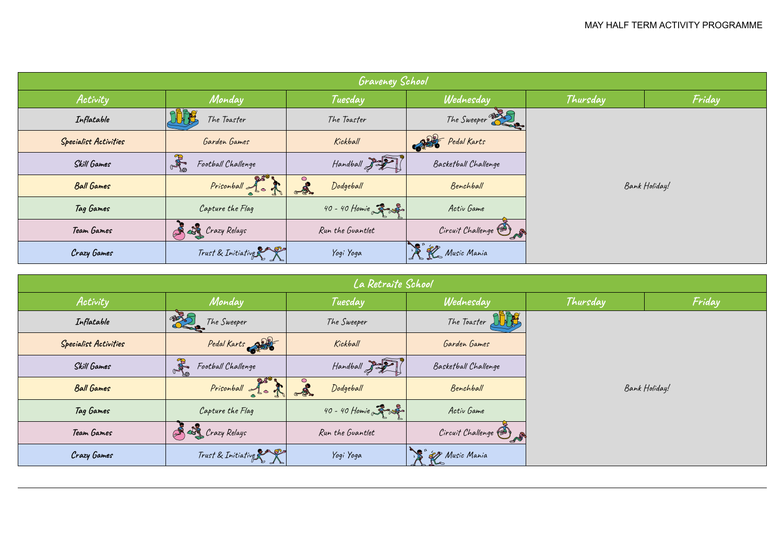| <b>Graveney School</b>       |                          |                           |                      |               |        |  |  |  |
|------------------------------|--------------------------|---------------------------|----------------------|---------------|--------|--|--|--|
| Activity                     | Monday                   | Tuesday                   | Wednesday            | Thursday      | Friday |  |  |  |
| Inflatable                   | The Toaster              | The Toaster               | The Sweeper          | Bank Holiday! |        |  |  |  |
| <b>Specialist Activities</b> | Garden Games             | Kickball                  | Pedal Karts          |               |        |  |  |  |
| Skill Games                  | A<br>Football Challenge  | Handball 3                | Basketball Challenge |               |        |  |  |  |
| <b>Ball Games</b>            | Prisonball 1.            | $\mathbf{A}$<br>Dodgeball | Benchball            |               |        |  |  |  |
| Tag Games                    | Capture the Flag         | 40 - 40 Homie 3           | Activ Game           |               |        |  |  |  |
| Team Games                   | <b>A LA</b> Crazy Relays | Run the Guantlet          | Circuit Challenge    |               |        |  |  |  |
| Crazy Games                  | Trust & Initiative       | Yogi Yoga                 | R R Music Mania      |               |        |  |  |  |

| La Retraite School           |                          |                   |                       |               |        |  |  |  |
|------------------------------|--------------------------|-------------------|-----------------------|---------------|--------|--|--|--|
| Activity                     | Monday                   | Tuesday           | Wednesday             | Thursday      | Friday |  |  |  |
| Inflatable                   | The Sweeper              | The Sweeper       | The Toaster Street    |               |        |  |  |  |
| <b>Specialist Activities</b> | Pedal Karts              | Kickball          | Garden Games          |               |        |  |  |  |
| Skill Games                  | AR<br>Football Challenge | $H$ andball $322$ | Basketball Challenge  | Bank Holiday! |        |  |  |  |
| <b>Ball Games</b>            | Prisonball of a          | Dodgeball         | Benchball             |               |        |  |  |  |
| Tag Games                    | Capture the Flag         | 40 - 40 Homie 3   | Activ Game            |               |        |  |  |  |
| Team Games                   | Crazy Relays             | Run the Guantlet  | Circuit Challenge (8) |               |        |  |  |  |
| Crazy Games                  | Trust & Initiative       | Yogi Yoga         | 18 27 Music Mania     |               |        |  |  |  |